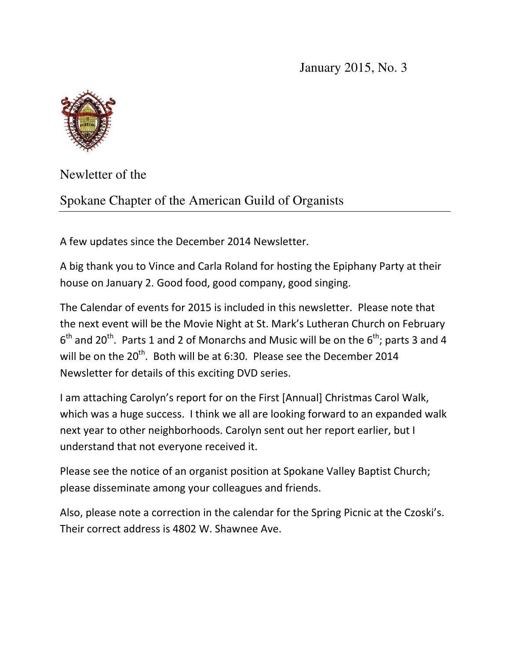January 2015, No. 3



Newletter of the

Spokane Chapter of the American Guild of Organists

A few updates since the December 2014 Newsletter.

A big thank you to Vince and Carla Roland for hosting the Epiphany Party at their house on January 2. Good food, good company, good singing.

The Calendar of events for 2015 is included in this newsletter. Please note that the next event will be the Movie Night at St. Mark's Lutheran Church on February  $6<sup>th</sup>$  and 20<sup>th</sup>. Parts 1 and 2 of Monarchs and Music will be on the  $6<sup>th</sup>$ ; parts 3 and 4 will be on the 20<sup>th</sup>. Both will be at 6:30. Please see the December 2014 Newsletter for details of this exciting DVD series.

I am attaching Carolyn's report for on the First [Annual] Christmas Carol Walk, which was a huge success. I think we all are looking forward to an expanded walk next year to other neighborhoods. Carolyn sent out her report earlier, but I understand that not everyone received it.

Please see the notice of an organist position at Spokane Valley Baptist Church; please disseminate among your colleagues and friends.

Also, please note a correction in the calendar for the Spring Picnic at the Czoski's. Their correct address is 4802 W. Shawnee Ave.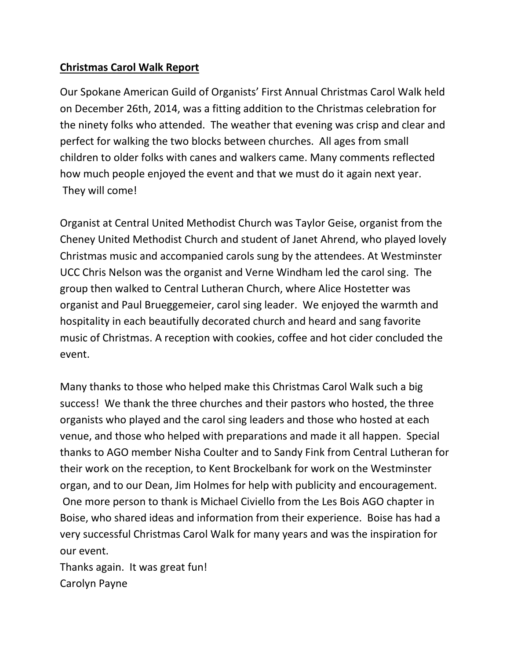## **Christmas Carol Walk Report**

Our Spokane American Guild of Organists' First Annual Christmas Carol Walk held on December 26th, 2014, was a fitting addition to the Christmas celebration for the ninety folks who attended. The weather that evening was crisp and clear and perfect for walking the two blocks between churches. All ages from small children to older folks with canes and walkers came. Many comments reflected how much people enjoyed the event and that we must do it again next year. They will come!

Organist at Central United Methodist Church was Taylor Geise, organist from the Cheney United Methodist Church and student of Janet Ahrend, who played lovely Christmas music and accompanied carols sung by the attendees. At Westminster UCC Chris Nelson was the organist and Verne Windham led the carol sing. The group then walked to Central Lutheran Church, where Alice Hostetter was organist and Paul Brueggemeier, carol sing leader. We enjoyed the warmth and hospitality in each beautifully decorated church and heard and sang favorite music of Christmas. A reception with cookies, coffee and hot cider concluded the event.

Many thanks to those who helped make this Christmas Carol Walk such a big success! We thank the three churches and their pastors who hosted, the three organists who played and the carol sing leaders and those who hosted at each venue, and those who helped with preparations and made it all happen. Special thanks to AGO member Nisha Coulter and to Sandy Fink from Central Lutheran for their work on the reception, to Kent Brockelbank for work on the Westminster organ, and to our Dean, Jim Holmes for help with publicity and encouragement. One more person to thank is Michael Civiello from the Les Bois AGO chapter in Boise, who shared ideas and information from their experience. Boise has had a very successful Christmas Carol Walk for many years and was the inspiration for our event.

Thanks again. It was great fun! Carolyn Payne